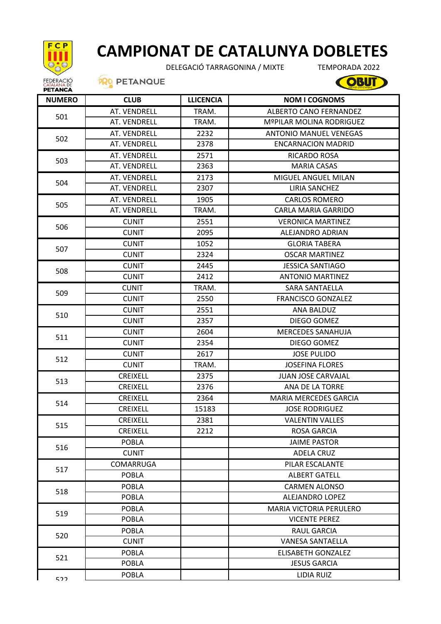

## **CAMPIONAT DE CATALUNYA DOBLETES**

DELEGACIÓ TARRAGONINA / MIXTE

TEMPORADA 2022

**OBUT** 

**PRO PETANQUE** 

| <b>NUMERO</b> | <b>CLUB</b>      | <b>LLICENCIA</b> | <b>NOM I COGNOMS</b>           |
|---------------|------------------|------------------|--------------------------------|
| 501           | AT. VENDRELL     | TRAM.            | <b>ALBERTO CANO FERNANDEZ</b>  |
|               | AT. VENDRELL     | TRAM.            | MºPILAR MOLINA RODRIGUEZ       |
|               | AT. VENDRELL     | 2232             | <b>ANTONIO MANUEL VENEGAS</b>  |
| 502           | AT. VENDRELL     | 2378             | <b>ENCARNACION MADRID</b>      |
| 503           | AT. VENDRELL     | 2571             | RICARDO ROSA                   |
|               | AT. VENDRELL     | 2363             | <b>MARIA CASAS</b>             |
|               | AT. VENDRELL     | 2173             | <b>MIGUEL ANGUEL MILAN</b>     |
| 504           | AT. VENDRELL     | 2307             | LIRIA SANCHEZ                  |
| 505           | AT. VENDRELL     | 1905             | <b>CARLOS ROMERO</b>           |
|               | AT. VENDRELL     | TRAM.            | <b>CARLA MARIA GARRIDO</b>     |
|               | <b>CUNIT</b>     | 2551             | <b>VERONICA MARTINEZ</b>       |
| 506           | <b>CUNIT</b>     | 2095             | ALEJANDRO ADRIAN               |
| 507           | <b>CUNIT</b>     | 1052             | <b>GLORIA TABERA</b>           |
|               | <b>CUNIT</b>     | 2324             | <b>OSCAR MARTINEZ</b>          |
| 508           | <b>CUNIT</b>     | 2445             | <b>JESSICA SANTIAGO</b>        |
|               | <b>CUNIT</b>     | 2412             | <b>ANTONIO MARTINEZ</b>        |
| 509           | <b>CUNIT</b>     | TRAM.            | <b>SARA SANTAELLA</b>          |
|               | <b>CUNIT</b>     | 2550             | <b>FRANCISCO GONZALEZ</b>      |
| 510           | <b>CUNIT</b>     | 2551             | ANA BALDUZ                     |
|               | <b>CUNIT</b>     | 2357             | DIEGO GOMEZ                    |
| 511           | <b>CUNIT</b>     | 2604             | <b>MERCEDES SANAHUJA</b>       |
|               | <b>CUNIT</b>     | 2354             | DIEGO GOMEZ                    |
| 512           | <b>CUNIT</b>     | 2617             | <b>JOSE PULIDO</b>             |
|               | <b>CUNIT</b>     | TRAM.            | <b>JOSEFINA FLORES</b>         |
| 513           | <b>CREIXELL</b>  | 2375             | <b>JUAN JOSE CARVAJAL</b>      |
|               | <b>CREIXELL</b>  | 2376             | <b>ANA DE LA TORRE</b>         |
| 514           | <b>CREIXELL</b>  | 2364             | <b>MARIA MERCEDES GARCIA</b>   |
|               | <b>CREIXELL</b>  | 15183            | <b>JOSE RODRIGUEZ</b>          |
| 515           | <b>CREIXELL</b>  | 2381             | <b>VALENTIN VALLES</b>         |
|               | <b>CREIXELL</b>  | 2212             | ROSA GARCIA                    |
|               | <b>POBLA</b>     |                  | <b>JAIME PASTOR</b>            |
| 516           | <b>CUNIT</b>     |                  | <b>ADELA CRUZ</b>              |
| 517           | <b>COMARRUGA</b> |                  | PILAR ESCALANTE                |
|               | <b>POBLA</b>     |                  | <b>ALBERT GATELL</b>           |
| 518           | <b>POBLA</b>     |                  | <b>CARMEN ALONSO</b>           |
|               | <b>POBLA</b>     |                  | ALEJANDRO LOPEZ                |
| 519           | <b>POBLA</b>     |                  | <b>MARIA VICTORIA PERULERO</b> |
|               | <b>POBLA</b>     |                  | <b>VICENTE PEREZ</b>           |
| 520           | <b>POBLA</b>     |                  | <b>RAUL GARCIA</b>             |
|               | <b>CUNIT</b>     |                  | <b>VANESA SANTAELLA</b>        |
| 521           | POBLA            |                  | <b>ELISABETH GONZALEZ</b>      |
|               | <b>POBLA</b>     |                  | <b>JESUS GARCIA</b>            |
| につつ           | <b>POBLA</b>     |                  | <b>LIDIA RUIZ</b>              |